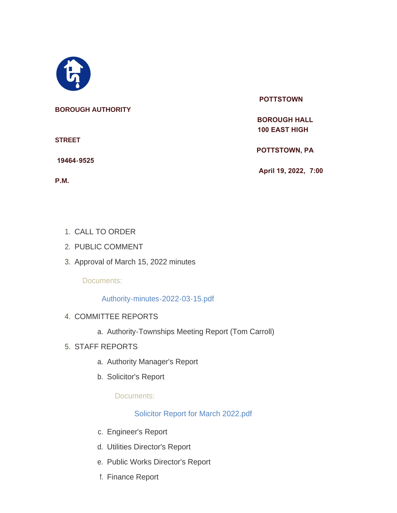

#### **BOROUGH AUTHORITY**

**STREET**

 **19464-9525** 

**P.M.**

#### **POTTSTOWN**

 **BOROUGH HALL 100 EAST HIGH** 

 **POTTSTOWN, PA** 

 **April 19, 2022, 7:00** 

- 1. CALL TO ORDER
- 2. PUBLIC COMMENT
- 3. Approval of March 15, 2022 minutes

Documents:

[Authority-minutes-2022-03-15.pdf](https://www.pottstown.org/AgendaCenter/ViewFile/Item/12480?fileID=5681)

- 4. COMMITTEE REPORTS
	- a. Authority-Townships Meeting Report (Tom Carroll)
- STAFF REPORTS 5.
	- a. Authority Manager's Report
	- b. Solicitor's Report

Documents:

[Solicitor Report for March 2022.pdf](https://www.pottstown.org/AgendaCenter/ViewFile/Item/12481?fileID=5682)

- c. Engineer's Report
- d. Utilities Director's Report
- e. Public Works Director's Report
- f. Finance Report